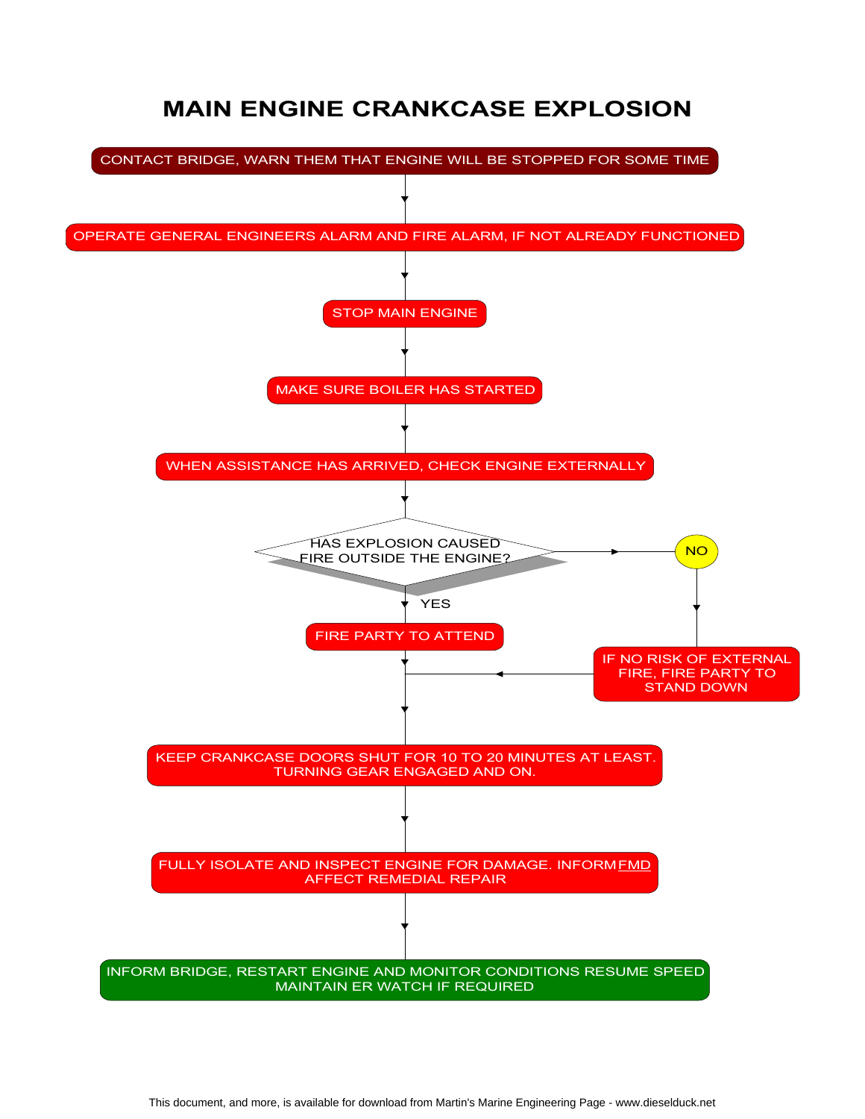# MAIN ENGINE CRANKCASE EXPLOSION

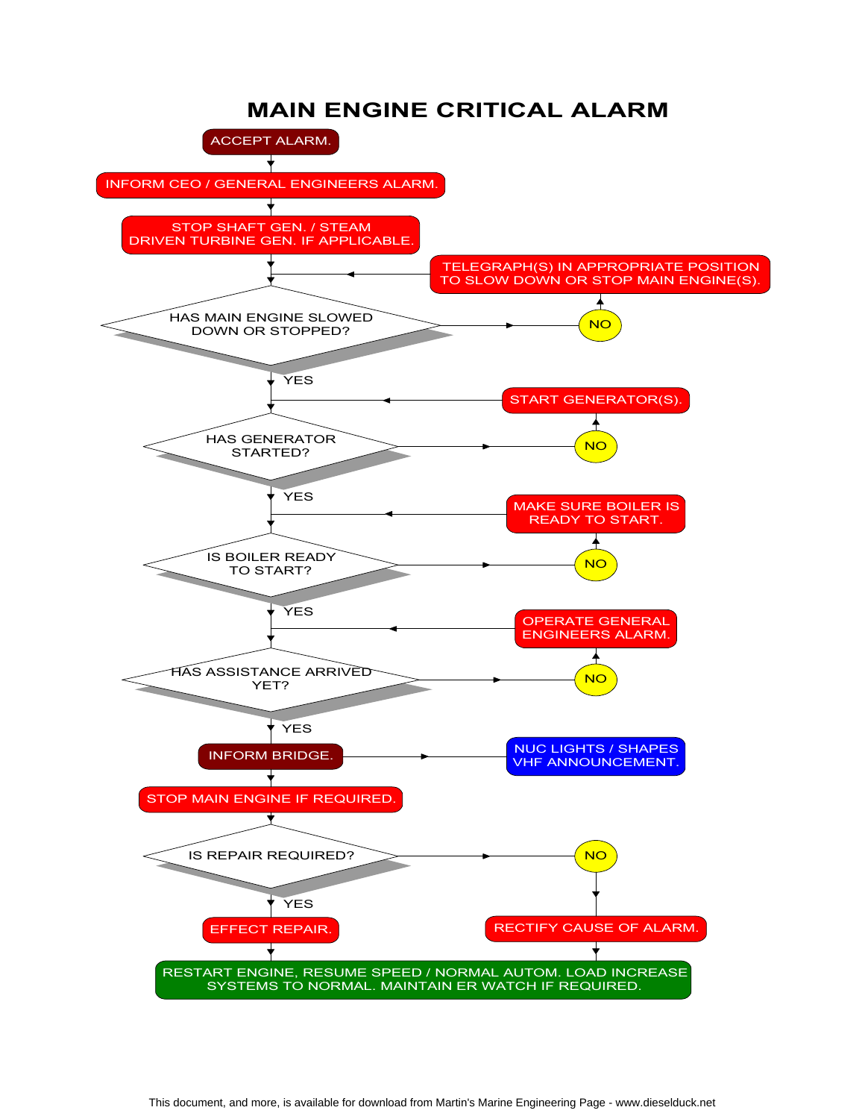#### MAIN ENGINE CRITICAL ALARM

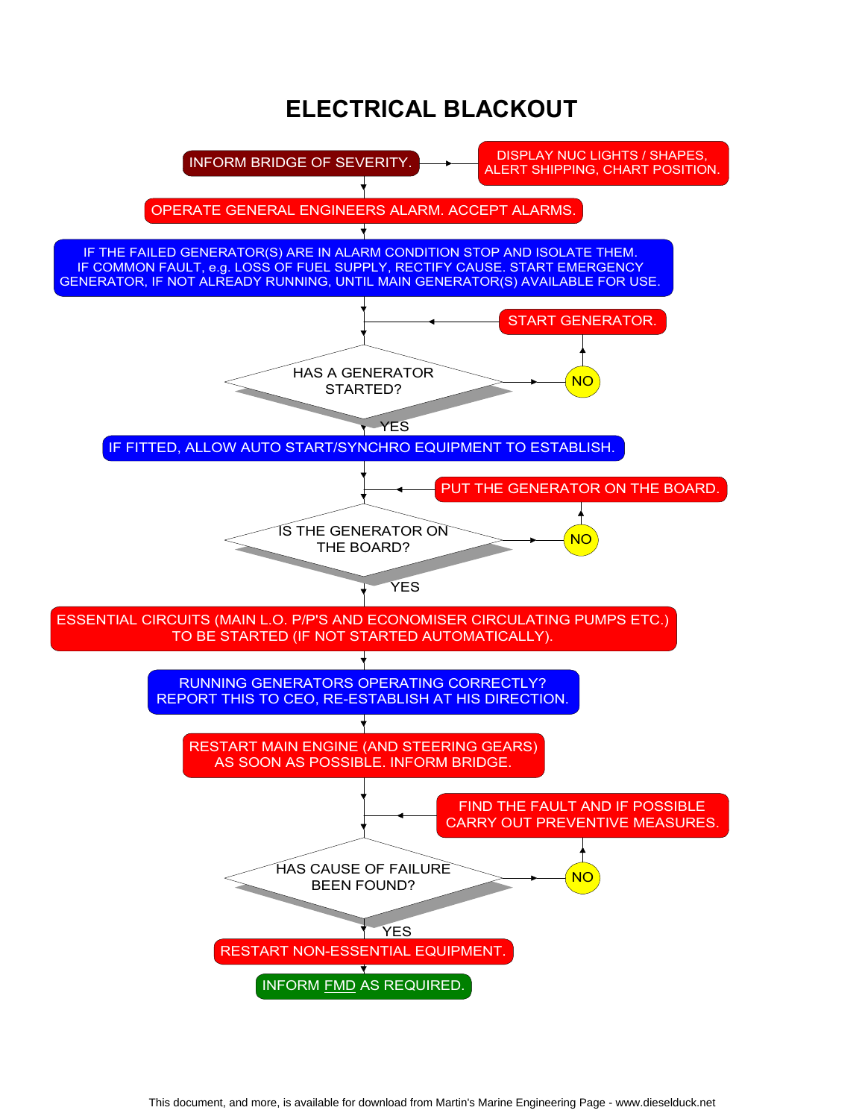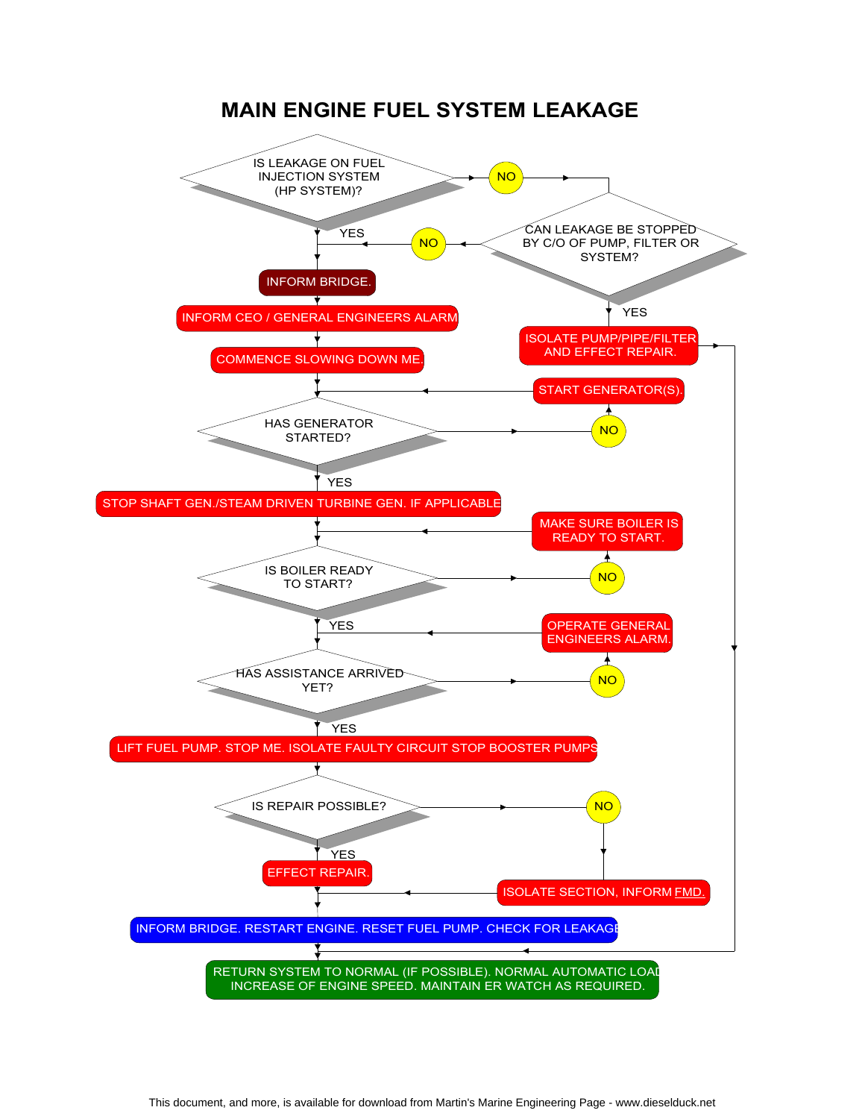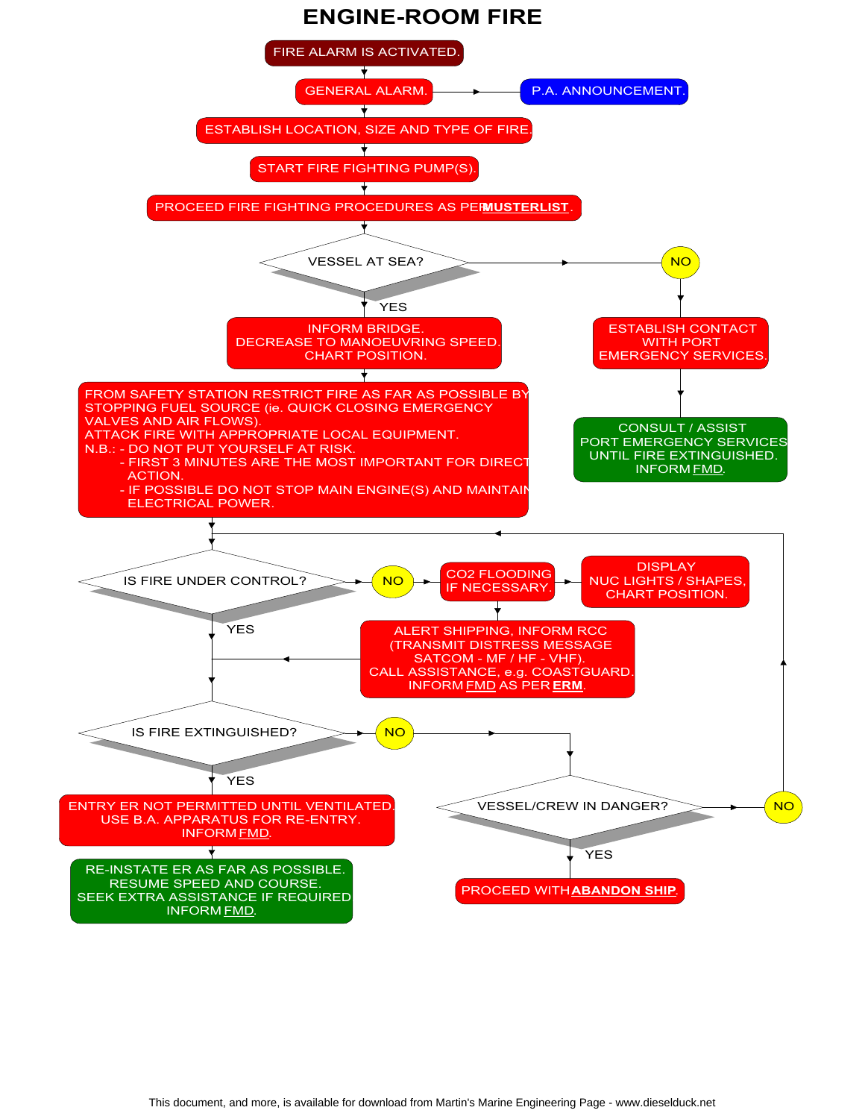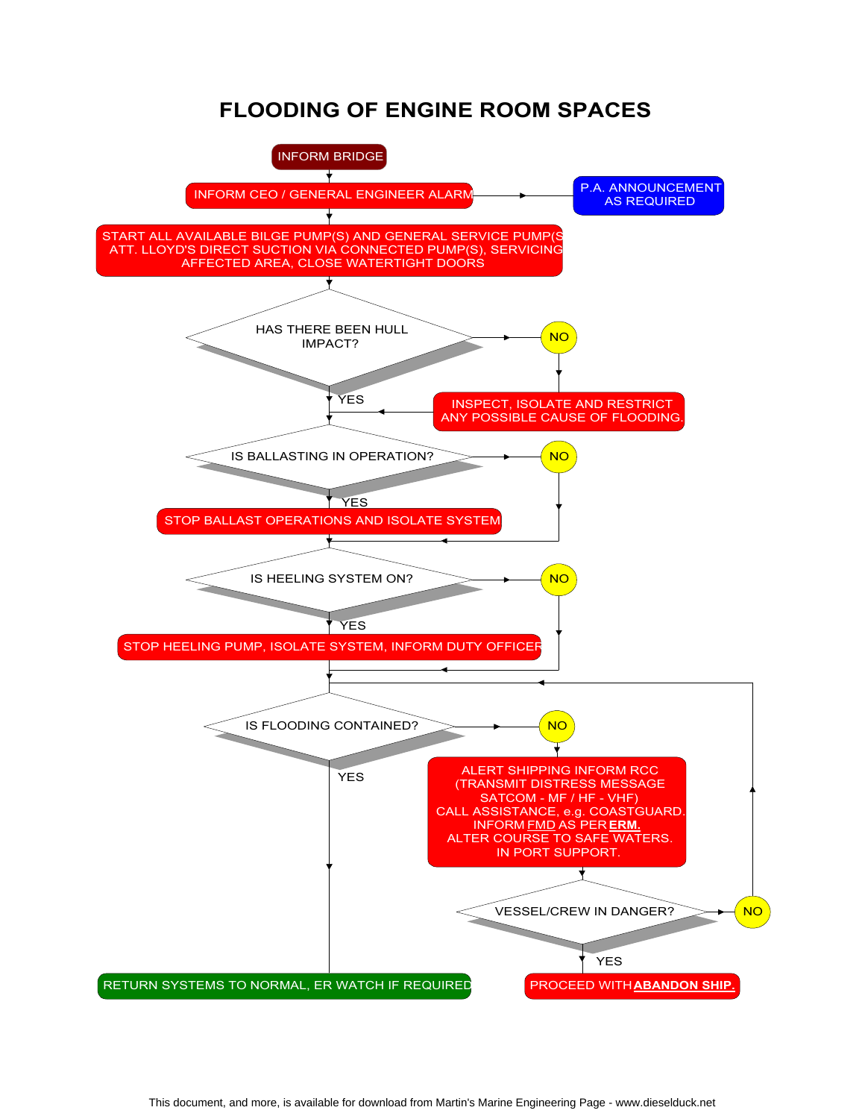#### FLOODING OF ENGINE ROOM SPACES

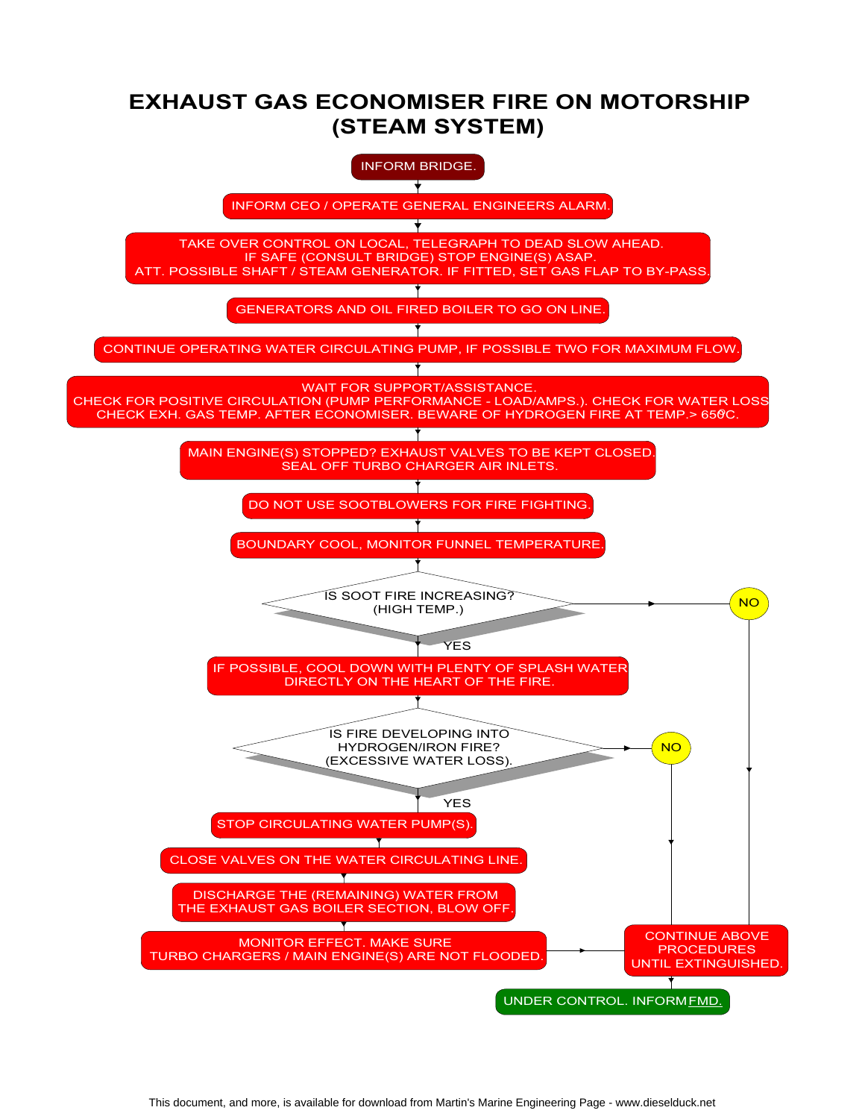## EXHAUST GAS ECONOMISER FIRE ON MOTORSHIP (STEAM SYSTEM)

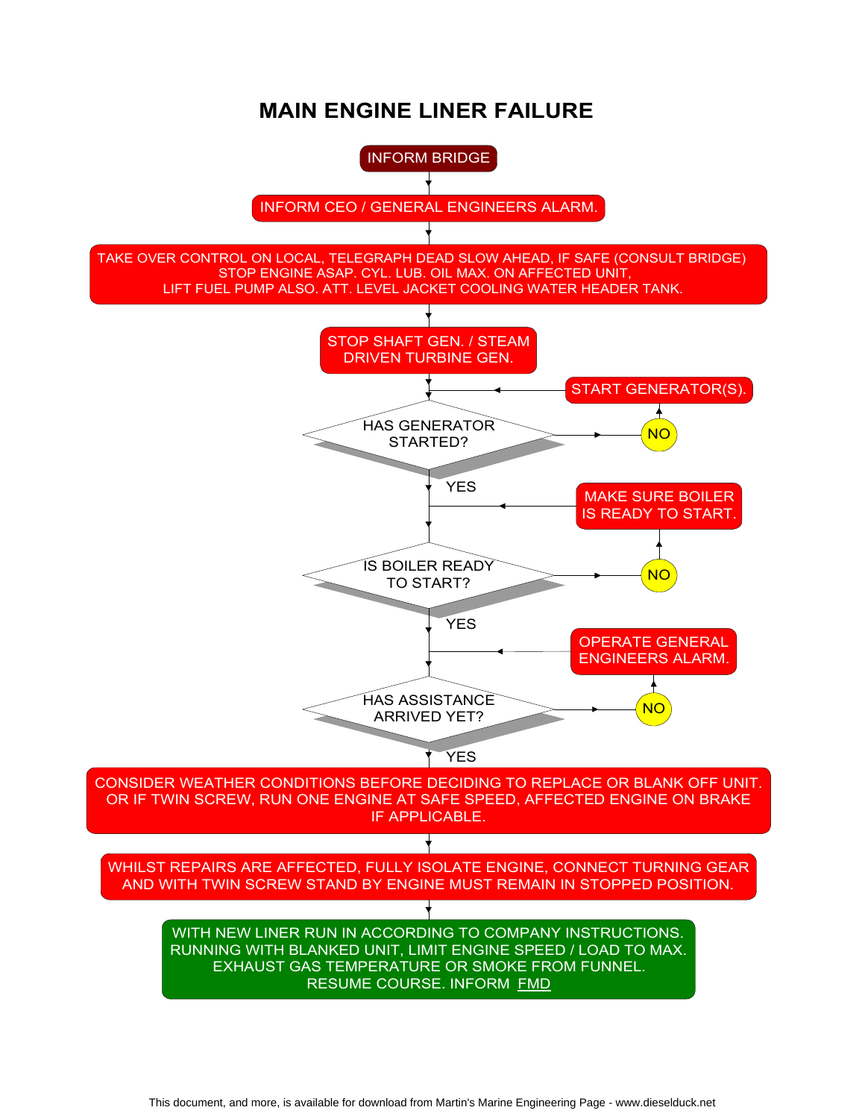## MAIN ENGINE LINER FAILURE

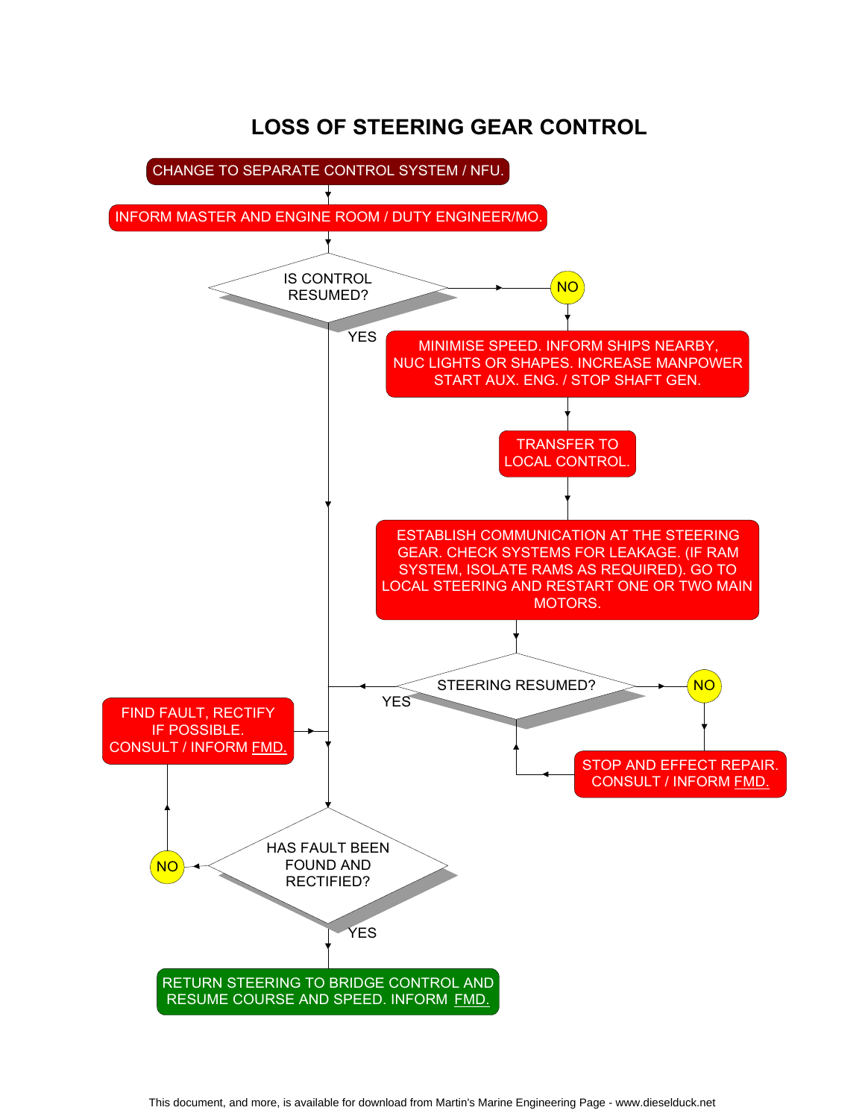# LOSS OF STEERING GEAR CONTROL